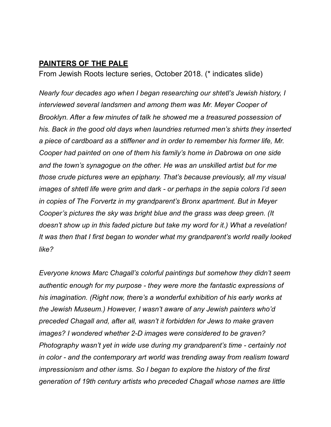## **PAINTERS OF THE PALE**

From Jewish Roots lecture series, October 2018. (\* indicates slide)

*Nearly four decades ago when I began researching our shtetl's Jewish history, I interviewed several landsmen and among them was Mr. Meyer Cooper of Brooklyn. After a few minutes of talk he showed me a treasured possession of his. Back in the good old days when laundries returned men's shirts they inserted a piece of cardboard as a stiffener and in order to remember his former life, Mr. Cooper had painted on one of them his family's home in Dabrowa on one side and the town's synagogue on the other. He was an unskilled artist but for me those crude pictures were an epiphany. That's because previously, all my visual images of shtetl life were grim and dark - or perhaps in the sepia colors I'd seen in copies of The Forvertz in my grandparent's Bronx apartment. But in Meyer Cooper's pictures the sky was bright blue and the grass was deep green. (It doesn't show up in this faded picture but take my word for it.) What a revelation! It was then that I first began to wonder what my grandparent's world really looked like?* 

*Everyone knows Marc Chagall's colorful paintings but somehow they didn't seem authentic enough for my purpose - they were more the fantastic expressions of his imagination. (Right now, there's a wonderful exhibition of his early works at the Jewish Museum.) However, I wasn't aware of any Jewish painters who'd preceded Chagall and, after all, wasn't it forbidden for Jews to make graven images? I wondered whether 2-D images were considered to be graven? Photography wasn't yet in wide use during my grandparent's time - certainly not in color - and the contemporary art world was trending away from realism toward impressionism and other isms. So I began to explore the history of the first generation of 19th century artists who preceded Chagall whose names are little*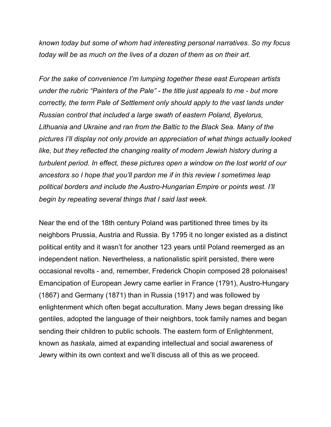*known today but some of whom had interesting personal narratives. So my focus today will be as much on the lives of a dozen of them as on their art.* 

*For the sake of convenience I'm lumping together these east European artists under the rubric "Painters of the Pale" - the title just appeals to me - but more correctly, the term Pale of Settlement only should apply to the vast lands under Russian control that included a large swath of eastern Poland, Byelorus, Lithuania and Ukraine and ran from the Baltic to the Black Sea. Many of the pictures I'll display not only provide an appreciation of what things actually looked like, but they reflected the changing reality of modern Jewish history during a turbulent period. In effect, these pictures open a window on the lost world of our ancestors so I hope that you'll pardon me if in this review I sometimes leap political borders and include the Austro-Hungarian Empire or points west. I'll begin by repeating several things that I said last week.* 

Near the end of the 18th century Poland was partitioned three times by its neighbors Prussia, Austria and Russia. By 1795 it no longer existed as a distinct political entity and it wasn't for another 123 years until Poland reemerged as an independent nation. Nevertheless, a nationalistic spirit persisted, there were occasional revolts - and, remember, Frederick Chopin composed 28 polonaises! Emancipation of European Jewry came earlier in France (1791), Austro-Hungary (1867) and Germany (1871) than in Russia (1917) and was followed by enlightenment which often begat acculturation. Many Jews began dressing like gentiles, adopted the language of their neighbors, took family names and began sending their children to public schools. The eastern form of Enlightenment, known as *haskala,* aimed at expanding intellectual and social awareness of Jewry within its own context and we'll discuss all of this as we proceed.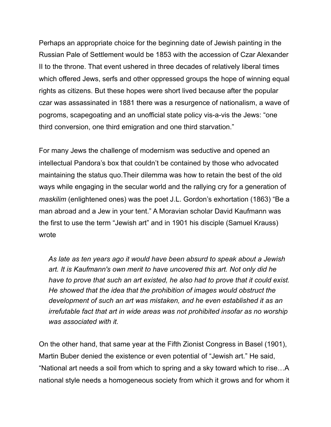Perhaps an appropriate choice for the beginning date of Jewish painting in the Russian Pale of Settlement would be 1853 with the accession of Czar Alexander II to the throne. That event ushered in three decades of relatively liberal times which offered Jews, serfs and other oppressed groups the hope of winning equal rights as citizens. But these hopes were short lived because after the popular czar was assassinated in 1881 there was a resurgence of nationalism, a wave of pogroms, scapegoating and an unofficial state policy vis-a-vis the Jews: "one third conversion, one third emigration and one third starvation."

For many Jews the challenge of modernism was seductive and opened an intellectual Pandora's box that couldn't be contained by those who advocated maintaining the status quo.Their dilemma was how to retain the best of the old ways while engaging in the secular world and the rallying cry for a generation of *maskilim* (enlightened ones) was the poet J.L. Gordon's exhortation (1863) "Be a man abroad and a Jew in your tent." A Moravian scholar David Kaufmann was the first to use the term "Jewish art" and in 1901 his disciple (Samuel Krauss) wrote

 *As late as ten years ago it would have been absurd to speak about a Jewish art. It is Kaufmann's own merit to have uncovered this art. Not only did he have to prove that such an art existed, he also had to prove that it could exist. He showed that the idea that the prohibition of images would obstruct the development of such an art was mistaken, and he even established it as an irrefutable fact that art in wide areas was not prohibited insofar as no worship was associated with it.*

On the other hand, that same year at the Fifth Zionist Congress in Basel (1901), Martin Buber denied the existence or even potential of "Jewish art." He said, "National art needs a soil from which to spring and a sky toward which to rise…A national style needs a homogeneous society from which it grows and for whom it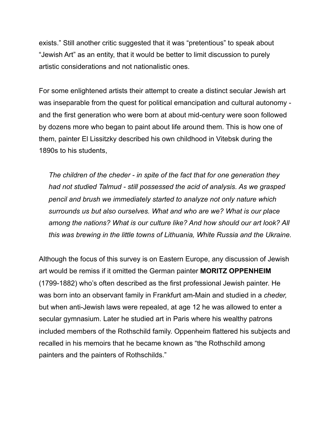exists." Still another critic suggested that it was "pretentious" to speak about "Jewish Art" as an entity, that it would be better to limit discussion to purely artistic considerations and not nationalistic ones.

For some enlightened artists their attempt to create a distinct secular Jewish art was inseparable from the quest for political emancipation and cultural autonomy and the first generation who were born at about mid-century were soon followed by dozens more who began to paint about life around them. This is how one of them, painter El Lissitzky described his own childhood in Vitebsk during the 1890s to his students,

 *The children of the cheder - in spite of the fact that for one generation they had not studied Talmud - still possessed the acid of analysis. As we grasped pencil and brush we immediately started to analyze not only nature which surrounds us but also ourselves. What and who are we? What is our place among the nations? What is our culture like? And how should our art look? All this was brewing in the little towns of Lithuania, White Russia and the Ukraine.* 

Although the focus of this survey is on Eastern Europe, any discussion of Jewish art would be remiss if it omitted the German painter **MORITZ OPPENHEIM** (1799-1882) who's often described as the first professional Jewish painter. He was born into an observant family in Frankfurt am-Main and studied in a *cheder,* but when anti-Jewish laws were repealed, at age 12 he was allowed to enter a secular gymnasium. Later he studied art in Paris where his wealthy patrons included members of the Rothschild family. Oppenheim flattered his subjects and recalled in his memoirs that he became known as "the Rothschild among painters and the painters of Rothschilds."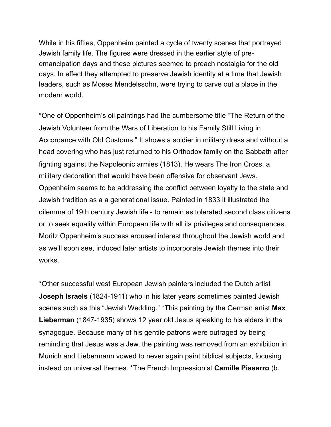While in his fifties, Oppenheim painted a cycle of twenty scenes that portrayed Jewish family life. The figures were dressed in the earlier style of preemancipation days and these pictures seemed to preach nostalgia for the old days. In effect they attempted to preserve Jewish identity at a time that Jewish leaders, such as Moses Mendelssohn, were trying to carve out a place in the modern world.

\*One of Oppenheim's oil paintings had the cumbersome title "The Return of the Jewish Volunteer from the Wars of Liberation to his Family Still Living in Accordance with Old Customs." It shows a soldier in military dress and without a head covering who has just returned to his Orthodox family on the Sabbath after fighting against the Napoleonic armies (1813). He wears The Iron Cross, a military decoration that would have been offensive for observant Jews. Oppenheim seems to be addressing the conflict between loyalty to the state and Jewish tradition as a a generational issue. Painted in 1833 it illustrated the dilemma of 19th century Jewish life - to remain as tolerated second class citizens or to seek equality within European life with all its privileges and consequences. Moritz Oppenheim's success aroused interest throughout the Jewish world and, as we'll soon see, induced later artists to incorporate Jewish themes into their works.

\*Other successful west European Jewish painters included the Dutch artist **Joseph Israels** (1824-1911) who in his later years sometimes painted Jewish scenes such as this "Jewish Wedding." \*This painting by the German artist **Max Lieberman** (1847-1935) shows 12 year old Jesus speaking to his elders in the synagogue. Because many of his gentile patrons were outraged by being reminding that Jesus was a Jew, the painting was removed from an exhibition in Munich and Liebermann vowed to never again paint biblical subjects, focusing instead on universal themes. \*The French Impressionist **Camille Pissarro** (b.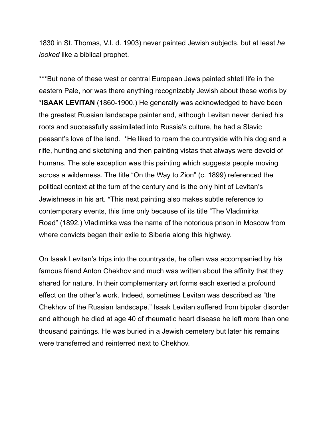1830 in St. Thomas, V.I. d. 1903) never painted Jewish subjects, but at least *he looked* like a biblical prophet.

\*\*\*But none of these west or central European Jews painted shtetl life in the eastern Pale, nor was there anything recognizably Jewish about these works by \***ISAAK LEVITAN** (1860-1900.) He generally was acknowledged to have been the greatest Russian landscape painter and, although Levitan never denied his roots and successfully assimilated into Russia's culture, he had a Slavic peasant's love of the land. \*He liked to roam the countryside with his dog and a rifle, hunting and sketching and then painting vistas that always were devoid of humans. The sole exception was this painting which suggests people moving across a wilderness. The title "On the Way to Zion" (c. 1899) referenced the political context at the turn of the century and is the only hint of Levitan's Jewishness in his art. \*This next painting also makes subtle reference to contemporary events, this time only because of its title "The Vladimirka Road" (1892.) Vladimirka was the name of the notorious prison in Moscow from where convicts began their exile to Siberia along this highway.

On Isaak Levitan's trips into the countryside, he often was accompanied by his famous friend Anton Chekhov and much was written about the affinity that they shared for nature. In their complementary art forms each exerted a profound effect on the other's work. Indeed, sometimes Levitan was described as "the Chekhov of the Russian landscape." Isaak Levitan suffered from bipolar disorder and although he died at age 40 of rheumatic heart disease he left more than one thousand paintings. He was buried in a Jewish cemetery but later his remains were transferred and reinterred next to Chekhov.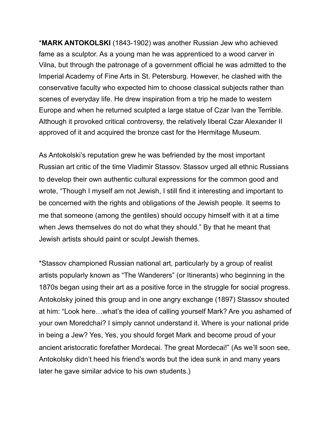\***MARK ANTOKOLSKI** (1843-1902) was another Russian Jew who achieved fame as a sculptor. As a young man he was apprenticed to a wood carver in Vilna, but through the patronage of a government official he was admitted to the Imperial Academy of Fine Arts in St. Petersburg. However, he clashed with the conservative faculty who expected him to choose classical subjects rather than scenes of everyday life. He drew inspiration from a trip he made to western Europe and when he returned sculpted a large statue of Czar Ivan the Terrible. Although it provoked critical controversy, the relatively liberal Czar Alexander II approved of it and acquired the bronze cast for the Hermitage Museum.

As Antokolski's reputation grew he was befriended by the most important Russian art critic of the time Vladimir Stassov. Stassov urged all ethnic Russians to develop their own authentic cultural expressions for the common good and wrote, "Though I myself am not Jewish, I still find it interesting and important to be concerned with the rights and obligations of the Jewish people. It seems to me that someone (among the gentiles) should occupy himself with it at a time when Jews themselves do not do what they should." By that he meant that Jewish artists should paint or sculpt Jewish themes.

\*Stassov championed Russian national art, particularly by a group of realist artists popularly known as "The Wanderers" (or Itinerants) who beginning in the 1870s began using their art as a positive force in the struggle for social progress. Antokolsky joined this group and in one angry exchange (1897) Stassov shouted at him: "Look here…what's the idea of calling yourself Mark? Are you ashamed of your own Moredchai? I simply cannot understand it. Where is your national pride in being a Jew? Yes, Yes, you should forget Mark and become proud of your ancient aristocratic forefather Mordecai. The great Mordecai!" (As we'll soon see, Antokolsky didn't heed his friend's words but the idea sunk in and many years later he gave similar advice to his own students.)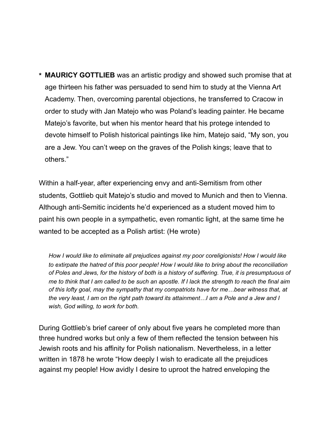**\* MAURICY GOTTLIEB** was an artistic prodigy and showed such promise that at age thirteen his father was persuaded to send him to study at the Vienna Art Academy. Then, overcoming parental objections, he transferred to Cracow in order to study with Jan Matejo who was Poland's leading painter. He became Matejo's favorite, but when his mentor heard that his protege intended to devote himself to Polish historical paintings like him, Matejo said, "My son, you are a Jew. You can't weep on the graves of the Polish kings; leave that to others."

Within a half-year, after experiencing envy and anti-Semitism from other students, Gottlieb quit Matejo's studio and moved to Munich and then to Vienna. Although anti-Semitic incidents he'd experienced as a student moved him to paint his own people in a sympathetic, even romantic light, at the same time he wanted to be accepted as a Polish artist: (He wrote)

 *How I would like to eliminate all prejudices against my poor coreligionists! How I would like to extirpate the hatred of this poor people! How I would like to bring about the reconciliation of Poles and Jews, for the history of both is a history of suffering. True, it is presumptuous of me to think that I am called to be such an apostle. If I lack the strength to reach the final aim of this lofty goal, may the sympathy that my compatriots have for me…bear witness that, at the very least, I am on the right path toward its attainment…I am a Pole and a Jew and I wish, God willing, to work for both.* 

During Gottlieb's brief career of only about five years he completed more than three hundred works but only a few of them reflected the tension between his Jewish roots and his affinity for Polish nationalism. Nevertheless, in a letter written in 1878 he wrote "How deeply I wish to eradicate all the prejudices against my people! How avidly I desire to uproot the hatred enveloping the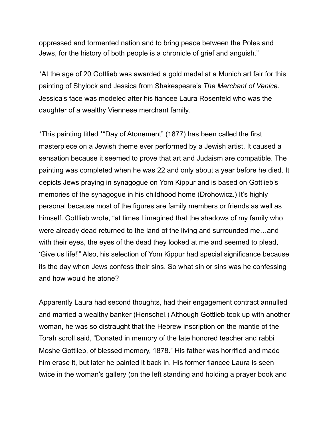oppressed and tormented nation and to bring peace between the Poles and Jews, for the history of both people is a chronicle of grief and anguish."

\*At the age of 20 Gottlieb was awarded a gold medal at a Munich art fair for this painting of Shylock and Jessica from Shakespeare's *The Merchant of Venice*. Jessica's face was modeled after his fiancee Laura Rosenfeld who was the daughter of a wealthy Viennese merchant family.

\*This painting titled \*"Day of Atonement" (1877) has been called the first masterpiece on a Jewish theme ever performed by a Jewish artist. It caused a sensation because it seemed to prove that art and Judaism are compatible. The painting was completed when he was 22 and only about a year before he died. It depicts Jews praying in synagogue on Yom Kippur and is based on Gottlieb's memories of the synagogue in his childhood home (Drohowicz.) It's highly personal because most of the figures are family members or friends as well as himself. Gottlieb wrote, "at times I imagined that the shadows of my family who were already dead returned to the land of the living and surrounded me…and with their eyes, the eyes of the dead they looked at me and seemed to plead, 'Give us life!'" Also, his selection of Yom Kippur had special significance because its the day when Jews confess their sins. So what sin or sins was he confessing and how would he atone?

Apparently Laura had second thoughts, had their engagement contract annulled and married a wealthy banker (Henschel.) Although Gottlieb took up with another woman, he was so distraught that the Hebrew inscription on the mantle of the Torah scroll said, "Donated in memory of the late honored teacher and rabbi Moshe Gottlieb, of blessed memory, 1878." His father was horrified and made him erase it, but later he painted it back in. His former fiancee Laura is seen twice in the woman's gallery (on the left standing and holding a prayer book and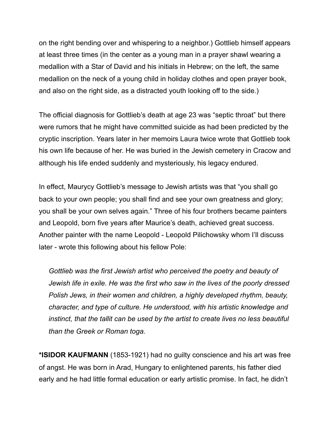on the right bending over and whispering to a neighbor.) Gottlieb himself appears at least three times (in the center as a young man in a prayer shawl wearing a medallion with a Star of David and his initials in Hebrew; on the left, the same medallion on the neck of a young child in holiday clothes and open prayer book, and also on the right side, as a distracted youth looking off to the side.)

The official diagnosis for Gottlieb's death at age 23 was "septic throat" but there were rumors that he might have committed suicide as had been predicted by the cryptic inscription. Years later in her memoirs Laura twice wrote that Gottlieb took his own life because of her. He was buried in the Jewish cemetery in Cracow and although his life ended suddenly and mysteriously, his legacy endured.

In effect, Maurycy Gottlieb's message to Jewish artists was that "you shall go back to your own people; you shall find and see your own greatness and glory; you shall be your own selves again." Three of his four brothers became painters and Leopold, born five years after Maurice's death, achieved great success. Another painter with the name Leopold - Leopold Pilichowsky whom I'll discuss later - wrote this following about his fellow Pole:

 *Gottlieb was the first Jewish artist who perceived the poetry and beauty of Jewish life in exile. He was the first who saw in the lives of the poorly dressed Polish Jews, in their women and children, a highly developed rhythm, beauty, character, and type of culture. He understood, with his artistic knowledge and instinct, that the tallit can be used by the artist to create lives no less beautiful than the Greek or Roman toga.* 

**\*ISIDOR KAUFMANN** (1853-1921) had no guilty conscience and his art was free of angst. He was born in Arad, Hungary to enlightened parents, his father died early and he had little formal education or early artistic promise. In fact, he didn't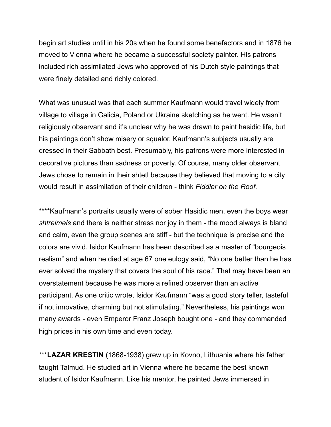begin art studies until in his 20s when he found some benefactors and in 1876 he moved to Vienna where he became a successful society painter. His patrons included rich assimilated Jews who approved of his Dutch style paintings that were finely detailed and richly colored.

What was unusual was that each summer Kaufmann would travel widely from village to village in Galicia, Poland or Ukraine sketching as he went. He wasn't religiously observant and it's unclear why he was drawn to paint hasidic life, but his paintings don't show misery or squalor. Kaufmann's subjects usually are dressed in their Sabbath best. Presumably, his patrons were more interested in decorative pictures than sadness or poverty. Of course, many older observant Jews chose to remain in their shtetl because they believed that moving to a city would result in assimilation of their children - think *Fiddler on the Roof.* 

\*\*\*\*Kaufmann's portraits usually were of sober Hasidic men, even the boys wear *shtreimels* and there is neither stress nor joy in them - the mood always is bland and calm, even the group scenes are stiff - but the technique is precise and the colors are vivid. Isidor Kaufmann has been described as a master of "bourgeois realism" and when he died at age 67 one eulogy said, "No one better than he has ever solved the mystery that covers the soul of his race." That may have been an overstatement because he was more a refined observer than an active participant. As one critic wrote, Isidor Kaufmann "was a good story teller, tasteful if not innovative, charming but not stimulating." Nevertheless, his paintings won many awards - even Emperor Franz Joseph bought one - and they commanded high prices in his own time and even today.

\*\*\***LAZAR KRESTIN** (1868-1938) grew up in Kovno, Lithuania where his father taught Talmud. He studied art in Vienna where he became the best known student of Isidor Kaufmann. Like his mentor, he painted Jews immersed in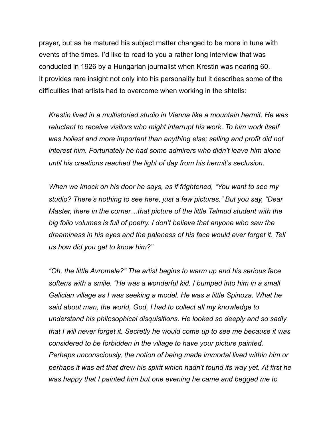prayer, but as he matured his subject matter changed to be more in tune with events of the times. I'd like to read to you a rather long interview that was conducted in 1926 by a Hungarian journalist when Krestin was nearing 60. It provides rare insight not only into his personality but it describes some of the difficulties that artists had to overcome when working in the shtetls:

 *Krestin lived in a multistoried studio in Vienna like a mountain hermit. He was reluctant to receive visitors who might interrupt his work. To him work itself was holiest and more important than anything else; selling and profit did not interest him. Fortunately he had some admirers who didn't leave him alone until his creations reached the light of day from his hermit's seclusion.* 

 *When we knock on his door he says, as if frightened, "You want to see my studio? There's nothing to see here, just a few pictures." But you say, "Dear Master, there in the corner…that picture of the little Talmud student with the big folio volumes is full of poetry. I don't believe that anyone who saw the dreaminess in his eyes and the paleness of his face would ever forget it. Tell us how did you get to know him?"* 

 *"Oh, the little Avromele?" The artist begins to warm up and his serious face softens with a smile. "He was a wonderful kid. I bumped into him in a small Galician village as I was seeking a model. He was a little Spinoza. What he said about man, the world, God, I had to collect all my knowledge to understand his philosophical disquisitions. He looked so deeply and so sadly that I will never forget it. Secretly he would come up to see me because it was considered to be forbidden in the village to have your picture painted. Perhaps unconsciously, the notion of being made immortal lived within him or perhaps it was art that drew his spirit which hadn't found its way yet. At first he was happy that I painted him but one evening he came and begged me to*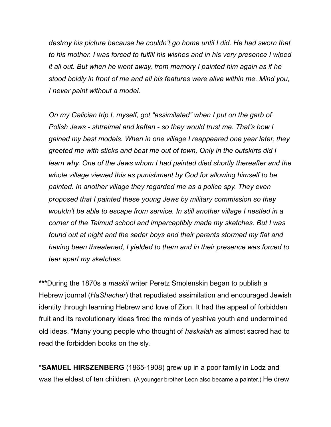*destroy his picture because he couldn't go home until I did. He had sworn that to his mother. I was forced to fulfill his wishes and in his very presence I wiped it all out. But when he went away, from memory I painted him again as if he stood boldly in front of me and all his features were alive within me. Mind you, I never paint without a model.* 

 *On my Galician trip I, myself, got "assimilated" when I put on the garb of Polish Jews - shtreimel and kaftan - so they would trust me. That's how I gained my best models. When in one village I reappeared one year later, they greeted me with sticks and beat me out of town, Only in the outskirts did I learn why. One of the Jews whom I had painted died shortly thereafter and the whole village viewed this as punishment by God for allowing himself to be painted. In another village they regarded me as a police spy. They even proposed that I painted these young Jews by military commission so they wouldn't be able to escape from service. In still another village I nestled in a corner of the Talmud school and imperceptibly made my sketches. But I was found out at night and the seder boys and their parents stormed my flat and having been threatened, I yielded to them and in their presence was forced to tear apart my sketches.* 

**\*\*\***During the 1870s a *maskil* writer Peretz Smolenskin began to publish a Hebrew journal (*HaShacher*) that repudiated assimilation and encouraged Jewish identity through learning Hebrew and love of Zion. It had the appeal of forbidden fruit and its revolutionary ideas fired the minds of yeshiva youth and undermined old ideas. \*Many young people who thought of *haskalah* as almost sacred had to read the forbidden books on the sly.

\***SAMUEL HIRSZENBERG** (1865-1908) grew up in a poor family in Lodz and was the eldest of ten children. (A younger brother Leon also became a painter.) He drew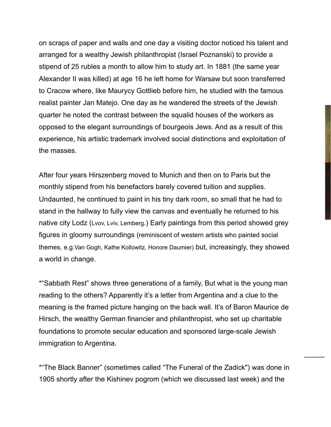on scraps of paper and walls and one day a visiting doctor noticed his talent and arranged for a wealthy Jewish philanthropist (Israel Poznanski) to provide a stipend of 25 rubles a month to allow him to study art. In 1881 (the same year Alexander II was killed) at age 16 he left home for Warsaw but soon transferred to Cracow where, like Maurycy Gottlieb before him, he studied with the famous realist painter Jan Matejo. One day as he wandered the streets of the Jewish quarter he noted the contrast between the squalid houses of the workers as opposed to the elegant surroundings of bourgeois Jews. And as a result of this experience, his artistic trademark involved social distinctions and exploitation of the masses.

After four years Hirszenberg moved to Munich and then on to Paris but the monthly stipend from his benefactors barely covered tuition and supplies. Undaunted, he continued to paint in his tiny dark room, so small that he had to stand in the hallway to fully view the canvas and eventually he returned to his native city Lodz (Lvov, Lviv, Lemberg.) Early paintings from this period showed grey figures in gloomy surroundings (reminiscent of western artists who painted social themes, e.g.Van Gogh, Kathe Kollowitz, Honore Daumier) but, increasingly, they showed a world in change.

\*"Sabbath Rest" shows three generations of a family, But what is the young man reading to the others? Apparently it's a letter from Argentina and a clue to the meaning is the framed picture hanging on the back wall. It's of Baron Maurice de Hirsch, the wealthy German financier and philanthropist, who set up charitable foundations to promote secular education and sponsored large-scale Jewish immigration to Argentina.

\*"The Black Banner" (sometimes called "The Funeral of the Zadick") was done in 1905 shortly after the Kishinev pogrom (which we discussed last week) and the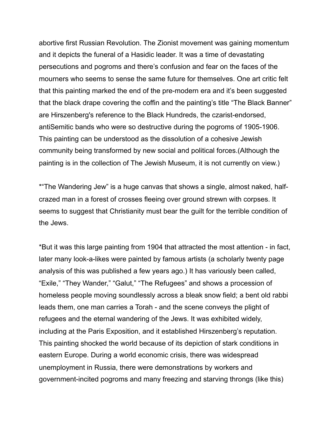abortive first Russian Revolution. The Zionist movement was gaining momentum and it depicts the funeral of a Hasidic leader. It was a time of devastating persecutions and pogroms and there's confusion and fear on the faces of the mourners who seems to sense the same future for themselves. One art critic felt that this painting marked the end of the pre-modern era and it's been suggested that the black drape covering the coffin and the painting's title "The Black Banner" are Hirszenberg's reference to the Black Hundreds, the czarist-endorsed, antiSemitic bands who were so destructive during the pogroms of 1905-1906. This painting can be understood as the dissolution of a cohesive Jewish community being transformed by new social and political forces.(Although the painting is in the collection of The Jewish Museum, it is not currently on view.)

\*"The Wandering Jew" is a huge canvas that shows a single, almost naked, halfcrazed man in a forest of crosses fleeing over ground strewn with corpses. It seems to suggest that Christianity must bear the guilt for the terrible condition of the Jews.

\*But it was this large painting from 1904 that attracted the most attention - in fact, later many look-a-likes were painted by famous artists (a scholarly twenty page analysis of this was published a few years ago.) It has variously been called, "Exile," "They Wander," "Galut," "The Refugees" and shows a procession of homeless people moving soundlessly across a bleak snow field; a bent old rabbi leads them, one man carries a Torah - and the scene conveys the plight of refugees and the eternal wandering of the Jews. It was exhibited widely, including at the Paris Exposition, and it established Hirszenberg's reputation. This painting shocked the world because of its depiction of stark conditions in eastern Europe. During a world economic crisis, there was widespread unemployment in Russia, there were demonstrations by workers and government-incited pogroms and many freezing and starving throngs (like this)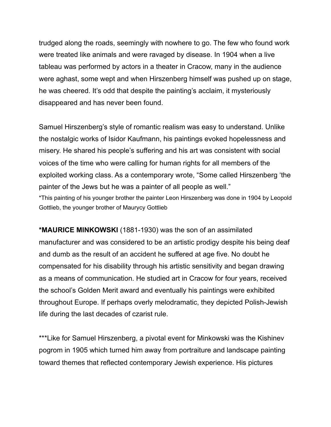trudged along the roads, seemingly with nowhere to go. The few who found work were treated like animals and were ravaged by disease. In 1904 when a live tableau was performed by actors in a theater in Cracow, many in the audience were aghast, some wept and when Hirszenberg himself was pushed up on stage, he was cheered. It's odd that despite the painting's acclaim, it mysteriously disappeared and has never been found.

Samuel Hirszenberg's style of romantic realism was easy to understand. Unlike the nostalgic works of Isidor Kaufmann, his paintings evoked hopelessness and misery. He shared his people's suffering and his art was consistent with social voices of the time who were calling for human rights for all members of the exploited working class. As a contemporary wrote, "Some called Hirszenberg 'the painter of the Jews but he was a painter of all people as well." \*This painting of his younger brother the painter Leon Hirszenberg was done in 1904 by Leopold

Gottlieb, the younger brother of Maurycy Gottlieb

**\*MAURICE MINKOWSKI** (1881-1930) was the son of an assimilated manufacturer and was considered to be an artistic prodigy despite his being deaf and dumb as the result of an accident he suffered at age five. No doubt he compensated for his disability through his artistic sensitivity and began drawing as a means of communication. He studied art in Cracow for four years, received the school's Golden Merit award and eventually his paintings were exhibited throughout Europe. If perhaps overly melodramatic, they depicted Polish-Jewish life during the last decades of czarist rule.

\*\*\*Like for Samuel Hirszenberg, a pivotal event for Minkowski was the Kishinev pogrom in 1905 which turned him away from portraiture and landscape painting toward themes that reflected contemporary Jewish experience. His pictures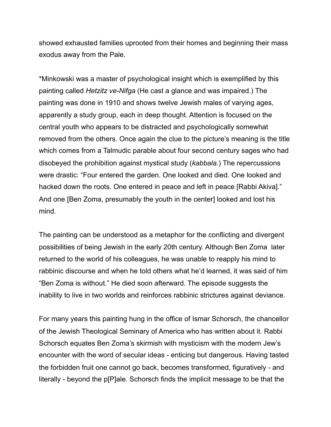showed exhausted families uprooted from their homes and beginning their mass exodus away from the Pale.

\*Minkowski was a master of psychological insight which is exemplified by this painting called *Hetzitz ve-Nifga* (He cast a glance and was impaired.) The painting was done in 1910 and shows twelve Jewish males of varying ages, apparently a study group, each in deep thought. Attention is focused on the central youth who appears to be distracted and psychologically somewhat removed from the others. Once again the clue to the picture's meaning is the title which comes from a Talmudic parable about four second century sages who had disobeyed the prohibition against mystical study (*kabbala.*) The repercussions were drastic: "Four entered the garden. One looked and died. One looked and hacked down the roots. One entered in peace and left in peace [Rabbi Akiva]." And one [Ben Zoma, presumably the youth in the center] looked and lost his mind.

The painting can be understood as a metaphor for the conflicting and divergent possibilities of being Jewish in the early 20th century. Although Ben Zoma later returned to the world of his colleagues, he was unable to reapply his mind to rabbinic discourse and when he told others what he'd learned, it was said of him "Ben Zoma is without." He died soon afterward. The episode suggests the inability to live in two worlds and reinforces rabbinic strictures against deviance.

For many years this painting hung in the office of Ismar Schorsch, the chancellor of the Jewish Theological Seminary of America who has written about it. Rabbi Schorsch equates Ben Zoma's skirmish with mysticism with the modern Jew's encounter with the word of secular ideas - enticing but dangerous. Having tasted the forbidden fruit one cannot go back, becomes transformed, figuratively - and literally - beyond the p[P]ale. Schorsch finds the implicit message to be that the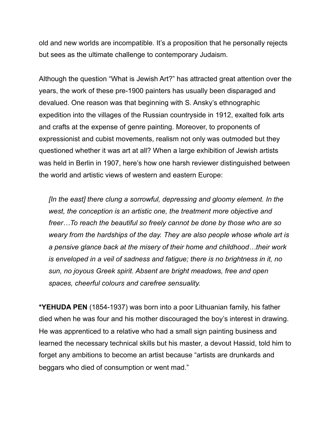old and new worlds are incompatible. It's a proposition that he personally rejects but sees as the ultimate challenge to contemporary Judaism.

Although the question "What is Jewish Art?" has attracted great attention over the years, the work of these pre-1900 painters has usually been disparaged and devalued. One reason was that beginning with S. Ansky's ethnographic expedition into the villages of the Russian countryside in 1912, exalted folk arts and crafts at the expense of genre painting. Moreover, to proponents of expressionist and cubist movements, realism not only was outmoded but they questioned whether it was art at all? When a large exhibition of Jewish artists was held in Berlin in 1907, here's how one harsh reviewer distinguished between the world and artistic views of western and eastern Europe:

 *[In the east] there clung a sorrowful, depressing and gloomy element. In the west, the conception is an artistic one, the treatment more objective and freer…To reach the beautiful so freely cannot be done by those who are so weary from the hardships of the day. They are also people whose whole art is a pensive glance back at the misery of their home and childhood…their work is enveloped in a veil of sadness and fatigue; there is no brightness in it, no sun, no joyous Greek spirit. Absent are bright meadows, free and open spaces, cheerful colours and carefree sensuality.* 

**\*YEHUDA PEN** (1854-1937) was born into a poor Lithuanian family, his father died when he was four and his mother discouraged the boy's interest in drawing. He was apprenticed to a relative who had a small sign painting business and learned the necessary technical skills but his master, a devout Hassid, told him to forget any ambitions to become an artist because "artists are drunkards and beggars who died of consumption or went mad."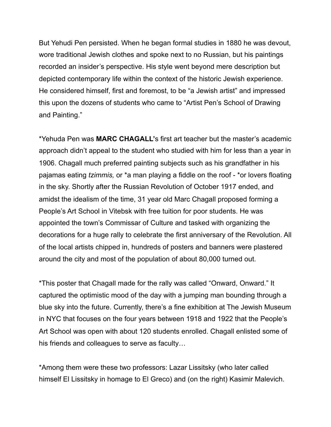But Yehudi Pen persisted. When he began formal studies in 1880 he was devout, wore traditional Jewish clothes and spoke next to no Russian, but his paintings recorded an insider's perspective. His style went beyond mere description but depicted contemporary life within the context of the historic Jewish experience. He considered himself, first and foremost, to be "a Jewish artist" and impressed this upon the dozens of students who came to "Artist Pen's School of Drawing and Painting."

\*Yehuda Pen was **MARC CHAGALL'**s first art teacher but the master's academic approach didn't appeal to the student who studied with him for less than a year in 1906. Chagall much preferred painting subjects such as his grandfather in his pajamas eating *tzimmis,* or \*a man playing a fiddle on the roof - \*or lovers floating in the sky. Shortly after the Russian Revolution of October 1917 ended, and amidst the idealism of the time, 31 year old Marc Chagall proposed forming a People's Art School in Vitebsk with free tuition for poor students. He was appointed the town's Commissar of Culture and tasked with organizing the decorations for a huge rally to celebrate the first anniversary of the Revolution. All of the local artists chipped in, hundreds of posters and banners were plastered around the city and most of the population of about 80,000 turned out.

\*This poster that Chagall made for the rally was called "Onward, Onward." It captured the optimistic mood of the day with a jumping man bounding through a blue sky into the future. Currently, there's a fine exhibition at The Jewish Museum in NYC that focuses on the four years between 1918 and 1922 that the People's Art School was open with about 120 students enrolled. Chagall enlisted some of his friends and colleagues to serve as faculty…

\*Among them were these two professors: Lazar Lissitsky (who later called himself El Lissitsky in homage to El Greco) and (on the right) Kasimir Malevich.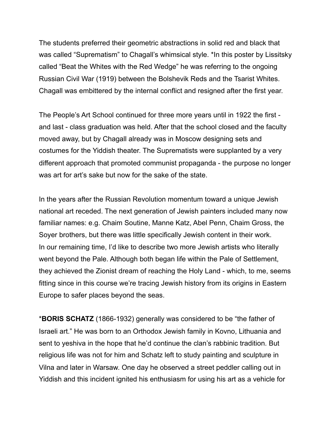The students preferred their geometric abstractions in solid red and black that was called "Suprematism" to Chagall's whimsical style. \*In this poster by Lissitsky called "Beat the Whites with the Red Wedge" he was referring to the ongoing Russian Civil War (1919) between the Bolshevik Reds and the Tsarist Whites. Chagall was embittered by the internal conflict and resigned after the first year.

The People's Art School continued for three more years until in 1922 the first and last - class graduation was held. After that the school closed and the faculty moved away, but by Chagall already was in Moscow designing sets and costumes for the Yiddish theater. The Suprematists were supplanted by a very different approach that promoted communist propaganda - the purpose no longer was art for art's sake but now for the sake of the state.

In the years after the Russian Revolution momentum toward a unique Jewish national art receded. The next generation of Jewish painters included many now familiar names: e.g. Chaim Soutine, Manne Katz, Abel Penn, Chaim Gross, the Soyer brothers, but there was little specifically Jewish content in their work. In our remaining time, I'd like to describe two more Jewish artists who literally went beyond the Pale. Although both began life within the Pale of Settlement, they achieved the Zionist dream of reaching the Holy Land - which, to me, seems fitting since in this course we're tracing Jewish history from its origins in Eastern Europe to safer places beyond the seas.

\***BORIS SCHATZ** (1866-1932) generally was considered to be "the father of Israeli art." He was born to an Orthodox Jewish family in Kovno, Lithuania and sent to yeshiva in the hope that he'd continue the clan's rabbinic tradition. But religious life was not for him and Schatz left to study painting and sculpture in Vilna and later in Warsaw. One day he observed a street peddler calling out in Yiddish and this incident ignited his enthusiasm for using his art as a vehicle for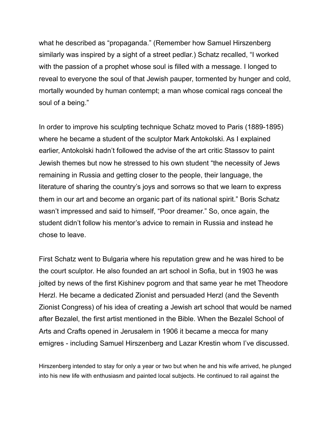what he described as "propaganda." (Remember how Samuel Hirszenberg similarly was inspired by a sight of a street pedlar.) Schatz recalled, "I worked with the passion of a prophet whose soul is filled with a message. I longed to reveal to everyone the soul of that Jewish pauper, tormented by hunger and cold, mortally wounded by human contempt; a man whose comical rags conceal the soul of a being."

In order to improve his sculpting technique Schatz moved to Paris (1889-1895) where he became a student of the sculptor Mark Antokolski. As I explained earlier, Antokolski hadn't followed the advise of the art critic Stassov to paint Jewish themes but now he stressed to his own student "the necessity of Jews remaining in Russia and getting closer to the people, their language, the literature of sharing the country's joys and sorrows so that we learn to express them in our art and become an organic part of its national spirit." Boris Schatz wasn't impressed and said to himself, "Poor dreamer." So, once again, the student didn't follow his mentor's advice to remain in Russia and instead he chose to leave.

First Schatz went to Bulgaria where his reputation grew and he was hired to be the court sculptor. He also founded an art school in Sofia, but in 1903 he was jolted by news of the first Kishinev pogrom and that same year he met Theodore Herzl. He became a dedicated Zionist and persuaded Herzl (and the Seventh Zionist Congress) of his idea of creating a Jewish art school that would be named after Bezalel, the first artist mentioned in the Bible. When the Bezalel School of Arts and Crafts opened in Jerusalem in 1906 it became a mecca for many emigres - including Samuel Hirszenberg and Lazar Krestin whom I've discussed.

Hirszenberg intended to stay for only a year or two but when he and his wife arrived, he plunged into his new life with enthusiasm and painted local subjects. He continued to rail against the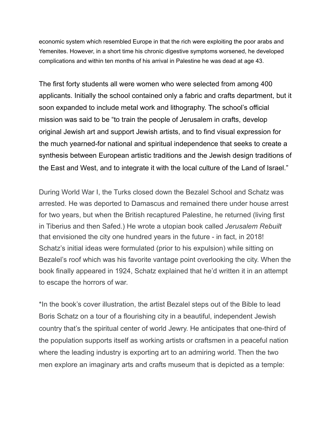economic system which resembled Europe in that the rich were exploiting the poor arabs and Yemenites. However, in a short time his chronic digestive symptoms worsened, he developed complications and within ten months of his arrival in Palestine he was dead at age 43.

The first forty students all were women who were selected from among 400 applicants. Initially the school contained only a fabric and crafts department, but it soon expanded to include metal work and lithography. The school's official mission was said to be "to train the people of Jerusalem in crafts, develop original Jewish art and support Jewish artists, and to find visual expression for the much yearned-for national and spiritual independence that seeks to create a synthesis between European artistic traditions and the Jewish design traditions of the East and West, and to integrate it with the local culture of the Land of Israel."

During World War I, the Turks closed down the Bezalel School and Schatz was arrested. He was deported to Damascus and remained there under house arrest for two years, but when the British recaptured Palestine, he returned (living first in Tiberius and then Safed.) He wrote a utopian book called *Jerusalem Rebuilt*  that envisioned the city one hundred years in the future - in fact, in 2018! Schatz's initial ideas were formulated (prior to his expulsion) while sitting on Bezalel's roof which was his favorite vantage point overlooking the city. When the book finally appeared in 1924, Schatz explained that he'd written it in an attempt to escape the horrors of war.

\*In the book's cover illustration, the artist Bezalel steps out of the Bible to lead Boris Schatz on a tour of a flourishing city in a beautiful, independent Jewish country that's the spiritual center of world Jewry. He anticipates that one-third of the population supports itself as working artists or craftsmen in a peaceful nation where the leading industry is exporting art to an admiring world. Then the two men explore an imaginary arts and crafts museum that is depicted as a temple: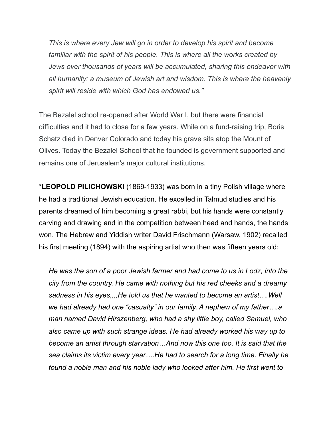*This is where every Jew will go in order to develop his spirit and become familiar with the spirit of his people. This is where all the works created by Jews over thousands of years will be accumulated, sharing this endeavor with all humanity: a museum of Jewish art and wisdom. This is where the heavenly spirit will reside with which God has endowed us."* 

The Bezalel school re-opened after World War I, but there were financial difficulties and it had to close for a few years. While on a fund-raising trip, Boris Schatz died in Denver Colorado and today his grave sits atop the Mount of Olives. Today the Bezalel School that he founded is government supported and remains one of Jerusalem's major cultural institutions.

\***LEOPOLD PILICHOWSKI** (1869-1933) was born in a tiny Polish village where he had a traditional Jewish education. He excelled in Talmud studies and his parents dreamed of him becoming a great rabbi, but his hands were constantly carving and drawing and in the competition between head and hands, the hands won. The Hebrew and Yiddish writer David Frischmann (Warsaw, 1902) recalled his first meeting (1894) with the aspiring artist who then was fifteen years old:

 *He was the son of a poor Jewish farmer and had come to us in Lodz, into the city from the country. He came with nothing but his red cheeks and a dreamy sadness in his eyes,,,,He told us that he wanted to become an artist….Well we had already had one "casualty" in our family. A nephew of my father….a man named David Hirszenberg, who had a shy little boy, called Samuel, who also came up with such strange ideas. He had already worked his way up to become an artist through starvation…And now this one too. It is said that the sea claims its victim every year….He had to search for a long time. Finally he found a noble man and his noble lady who looked after him. He first went to*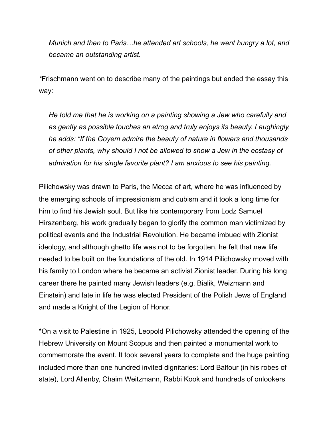*Munich and then to Paris…he attended art schools, he went hungry a lot, and became an outstanding artist.* 

*\**Frischmann went on to describe many of the paintings but ended the essay this way:

 *He told me that he is working on a painting showing a Jew who carefully and as gently as possible touches an etrog and truly enjoys its beauty. Laughingly, he adds: "If the Goyem admire the beauty of nature in flowers and thousands of other plants, why should I not be allowed to show a Jew in the ecstasy of admiration for his single favorite plant? I am anxious to see his painting.* 

Pilichowsky was drawn to Paris, the Mecca of art, where he was influenced by the emerging schools of impressionism and cubism and it took a long time for him to find his Jewish soul. But like his contemporary from Lodz Samuel Hirszenberg, his work gradually began to glorify the common man victimized by political events and the Industrial Revolution. He became imbued with Zionist ideology, and although ghetto life was not to be forgotten, he felt that new life needed to be built on the foundations of the old. In 1914 Pilichowsky moved with his family to London where he became an activist Zionist leader. During his long career there he painted many Jewish leaders (e.g. Bialik, Weizmann and Einstein) and late in life he was elected President of the Polish Jews of England and made a Knight of the Legion of Honor.

\*On a visit to Palestine in 1925, Leopold Pilichowsky attended the opening of the Hebrew University on Mount Scopus and then painted a monumental work to commemorate the event. It took several years to complete and the huge painting included more than one hundred invited dignitaries: Lord Balfour (in his robes of state), Lord Allenby, Chaim Weitzmann, Rabbi Kook and hundreds of onlookers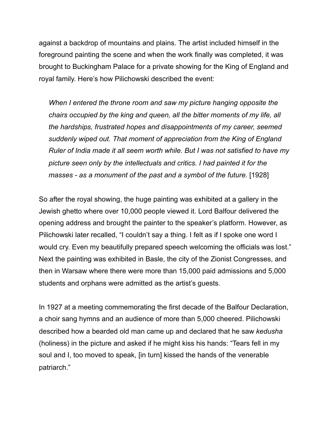against a backdrop of mountains and plains. The artist included himself in the foreground painting the scene and when the work finally was completed, it was brought to Buckingham Palace for a private showing for the King of England and royal family. Here's how Pilichowski described the event:

 *When I entered the throne room and saw my picture hanging opposite the chairs occupied by the king and queen, all the bitter moments of my life, all the hardships, frustrated hopes and disappointments of my career, seemed suddenly wiped out. That moment of appreciation from the King of England Ruler of India made it all seem worth while. But I was not satisfied to have my picture seen only by the intellectuals and critics. I had painted it for the masses - as a monument of the past and a symbol of the future.* [1928]

So after the royal showing, the huge painting was exhibited at a gallery in the Jewish ghetto where over 10,000 people viewed it. Lord Balfour delivered the opening address and brought the painter to the speaker's platform. However, as Pilichowski later recalled, "I couldn't say a thing. I felt as if I spoke one word I would cry. Even my beautifully prepared speech welcoming the officials was lost." Next the painting was exhibited in Basle, the city of the Zionist Congresses, and then in Warsaw where there were more than 15,000 paid admissions and 5,000 students and orphans were admitted as the artist's guests.

In 1927 at a meeting commemorating the first decade of the Balfour Declaration, a choir sang hymns and an audience of more than 5,000 cheered. Pilichowski described how a bearded old man came up and declared that he saw *kedusha* (holiness) in the picture and asked if he might kiss his hands: "Tears fell in my soul and I, too moved to speak, [in turn] kissed the hands of the venerable patriarch."